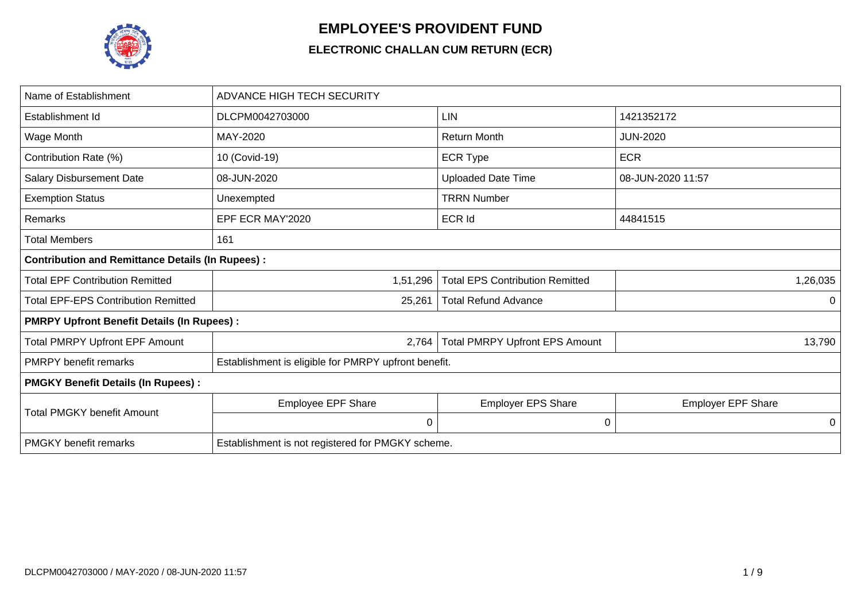

## **EMPLOYEE'S PROVIDENT FUND**

## **ELECTRONIC CHALLAN CUM RETURN (ECR)**

| Name of Establishment                                   | <b>ADVANCE HIGH TECH SECURITY</b>                    |                                        |                           |  |  |  |  |
|---------------------------------------------------------|------------------------------------------------------|----------------------------------------|---------------------------|--|--|--|--|
| Establishment Id                                        | DLCPM0042703000                                      | LIN                                    | 1421352172                |  |  |  |  |
| Wage Month                                              | MAY-2020                                             | <b>Return Month</b>                    | <b>JUN-2020</b>           |  |  |  |  |
| Contribution Rate (%)                                   | 10 (Covid-19)                                        | <b>ECR Type</b>                        | <b>ECR</b>                |  |  |  |  |
| <b>Salary Disbursement Date</b>                         | 08-JUN-2020                                          | <b>Uploaded Date Time</b>              | 08-JUN-2020 11:57         |  |  |  |  |
| <b>Exemption Status</b>                                 | Unexempted                                           | <b>TRRN Number</b>                     |                           |  |  |  |  |
| Remarks                                                 | EPF ECR MAY'2020                                     | <b>ECR Id</b>                          | 44841515                  |  |  |  |  |
| <b>Total Members</b>                                    | 161                                                  |                                        |                           |  |  |  |  |
| <b>Contribution and Remittance Details (In Rupees):</b> |                                                      |                                        |                           |  |  |  |  |
| <b>Total EPF Contribution Remitted</b>                  | 1,51,296                                             | <b>Total EPS Contribution Remitted</b> | 1,26,035                  |  |  |  |  |
| <b>Total EPF-EPS Contribution Remitted</b>              | 25,261                                               | <b>Total Refund Advance</b>            | 0                         |  |  |  |  |
| <b>PMRPY Upfront Benefit Details (In Rupees):</b>       |                                                      |                                        |                           |  |  |  |  |
| <b>Total PMRPY Upfront EPF Amount</b>                   | 2,764                                                | <b>Total PMRPY Upfront EPS Amount</b>  | 13,790                    |  |  |  |  |
| <b>PMRPY</b> benefit remarks                            | Establishment is eligible for PMRPY upfront benefit. |                                        |                           |  |  |  |  |
| <b>PMGKY Benefit Details (In Rupees):</b>               |                                                      |                                        |                           |  |  |  |  |
| <b>Total PMGKY benefit Amount</b>                       | <b>Employee EPF Share</b>                            | <b>Employer EPS Share</b>              | <b>Employer EPF Share</b> |  |  |  |  |
|                                                         | 0                                                    | $\mathbf 0$                            | 0                         |  |  |  |  |
| <b>PMGKY</b> benefit remarks                            | Establishment is not registered for PMGKY scheme.    |                                        |                           |  |  |  |  |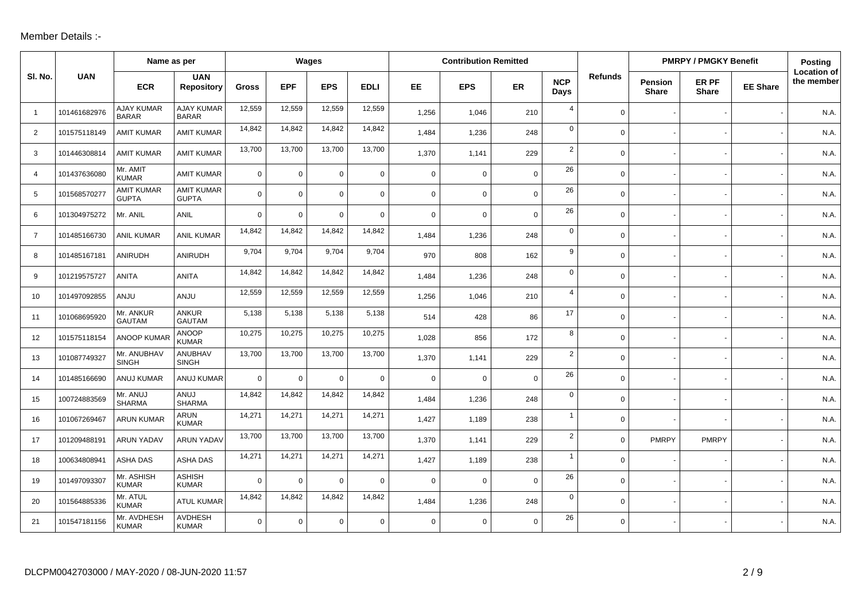## Member Details :-

|                |              | Name as per                       |                                   |              |             | Wages          |              |             | <b>Contribution Remitted</b> |             |                    |                |                                | <b>PMRPY / PMGKY Benefit</b> |                 | <b>Posting</b>                   |
|----------------|--------------|-----------------------------------|-----------------------------------|--------------|-------------|----------------|--------------|-------------|------------------------------|-------------|--------------------|----------------|--------------------------------|------------------------------|-----------------|----------------------------------|
| SI. No.        | <b>UAN</b>   | <b>ECR</b>                        | <b>UAN</b><br><b>Repository</b>   | <b>Gross</b> | <b>EPF</b>  | <b>EPS</b>     | <b>EDLI</b>  | EE.         | <b>EPS</b>                   | ER          | <b>NCP</b><br>Days | <b>Refunds</b> | <b>Pension</b><br><b>Share</b> | ER PF<br><b>Share</b>        | <b>EE Share</b> | <b>Location of</b><br>the member |
| $\overline{1}$ | 101461682976 | <b>AJAY KUMAR</b><br><b>BARAR</b> | <b>AJAY KUMAR</b><br><b>BARAR</b> | 12,559       | 12,559      | 12,559         | 12,559       | 1,256       | 1,046                        | 210         | $\overline{4}$     | $\mathbf 0$    |                                |                              |                 | N.A.                             |
| $\overline{2}$ | 101575118149 | <b>AMIT KUMAR</b>                 | <b>AMIT KUMAR</b>                 | 14,842       | 14,842      | 14,842         | 14,842       | 1,484       | 1,236                        | 248         | $\mathbf 0$        | $\mathbf 0$    |                                |                              |                 | N.A.                             |
| 3              | 101446308814 | <b>AMIT KUMAR</b>                 | <b>AMIT KUMAR</b>                 | 13,700       | 13,700      | 13,700         | 13,700       | 1,370       | 1,141                        | 229         | $\overline{2}$     | $\mathsf{O}$   |                                |                              |                 | N.A.                             |
| $\overline{4}$ | 101437636080 | Mr. AMIT<br><b>KUMAR</b>          | <b>AMIT KUMAR</b>                 | $\Omega$     | $\Omega$    | $\Omega$       | $\mathsf{O}$ | $\Omega$    | $\mathbf 0$                  | $\Omega$    | 26                 | $\mathbf 0$    |                                |                              |                 | N.A.                             |
| 5              | 101568570277 | <b>AMIT KUMAR</b><br><b>GUPTA</b> | <b>AMIT KUMAR</b><br><b>GUPTA</b> | $\Omega$     | $\Omega$    | $\Omega$       | $\mathbf 0$  | $\mathbf 0$ | $\mathbf 0$                  | $\mathbf 0$ | 26                 | $\mathbf 0$    |                                |                              |                 | N.A.                             |
| 6              | 101304975272 | Mr. ANIL                          | ANIL                              | $\Omega$     | $\mathbf 0$ | $\Omega$       | $\mathbf 0$  | $\mathbf 0$ | $\mathbf 0$                  | $\mathbf 0$ | 26                 | $\mathbf 0$    |                                |                              |                 | N.A.                             |
| $\overline{7}$ | 101485166730 | <b>ANIL KUMAR</b>                 | <b>ANIL KUMAR</b>                 | 14,842       | 14,842      | 14,842         | 14,842       | 1.484       | 1,236                        | 248         | $\mathbf 0$        | $\mathbf 0$    |                                |                              |                 | N.A.                             |
| 8              | 101485167181 | ANIRUDH                           | <b>ANIRUDH</b>                    | 9,704        | 9,704       | 9,704          | 9,704        | 970         | 808                          | 162         | 9                  | $\mathbf 0$    |                                |                              |                 | N.A.                             |
| 9              | 101219575727 | <b>ANITA</b>                      | <b>ANITA</b>                      | 14,842       | 14,842      | 14,842         | 14,842       | 1,484       | 1,236                        | 248         | 0                  | $\mathbf{0}$   |                                |                              |                 | N.A.                             |
| 10             | 101497092855 | ANJU                              | <b>ANJU</b>                       | 12,559       | 12,559      | 12,559         | 12,559       | 1,256       | 1,046                        | 210         | $\overline{a}$     | $\mathbf 0$    |                                |                              |                 | N.A.                             |
| 11             | 101068695920 | Mr. ANKUR<br><b>GAUTAM</b>        | <b>ANKUR</b><br><b>GAUTAM</b>     | 5,138        | 5,138       | 5,138          | 5,138        | 514         | 428                          | 86          | 17                 | $\mathsf{O}$   |                                |                              |                 | N.A.                             |
| 12             | 101575118154 | <b>ANOOP KUMAF</b>                | <b>ANOOP</b><br><b>KUMAR</b>      | 10,275       | 10,275      | 10,275         | 10,275       | 1,028       | 856                          | 172         | 8                  | $\mathbf 0$    |                                |                              |                 | N.A.                             |
| 13             | 101087749327 | Mr. ANUBHAV<br><b>SINGH</b>       | ANUBHAV<br><b>SINGH</b>           | 13,700       | 13,700      | 13,700         | 13,700       | 1,370       | 1,141                        | 229         | $\overline{2}$     | $\mathbf 0$    |                                |                              |                 | N.A.                             |
| 14             | 101485166690 | ANUJ KUMAR                        | ANUJ KUMAR                        | $\Omega$     | $\mathbf 0$ | $\overline{0}$ | $\mathbf 0$  | $\mathbf 0$ | $\mathbf 0$                  | $\mathbf 0$ | 26                 | $\mathbf 0$    |                                |                              |                 | N.A.                             |
| 15             | 100724883569 | Mr. ANUJ<br><b>SHARMA</b>         | ANUJ<br><b>SHARMA</b>             | 14.842       | 14,842      | 14,842         | 14,842       | 1,484       | 1,236                        | 248         | $\mathbf 0$        | $\mathsf{O}$   |                                |                              |                 | N.A.                             |
| 16             | 101067269467 | <b>ARUN KUMAR</b>                 | ARUN<br><b>KUMAR</b>              | 14,271       | 14,271      | 14,271         | 14,271       | 1,427       | 1,189                        | 238         | $\mathbf{1}$       | $\mathbf 0$    |                                |                              |                 | N.A.                             |
| 17             | 101209488191 | <b>ARUN YADAV</b>                 | <b>ARUN YADAV</b>                 | 13,700       | 13,700      | 13,700         | 13,700       | 1,370       | 1,141                        | 229         | $\overline{2}$     | $\mathbf 0$    | <b>PMRPY</b>                   | <b>PMRPY</b>                 |                 | N.A.                             |
| 18             | 100634808941 | <b>ASHA DAS</b>                   | <b>ASHA DAS</b>                   | 14,271       | 14,271      | 14,271         | 14,271       | 1,427       | 1,189                        | 238         | $\mathbf{1}$       | $\mathbf 0$    |                                |                              |                 | N.A.                             |
| 19             | 101497093307 | Mr. ASHISH<br><b>KUMAR</b>        | <b>ASHISH</b><br><b>KUMAR</b>     | $\Omega$     | $\mathbf 0$ | $\overline{0}$ | $\mathbf 0$  | $\Omega$    | $\Omega$                     | $\mathbf 0$ | 26                 | $\mathbf 0$    |                                |                              |                 | N.A.                             |
| 20             | 101564885336 | Mr. ATUL<br><b>KUMAR</b>          | <b>ATUL KUMAR</b>                 | 14,842       | 14,842      | 14,842         | 14,842       | 1,484       | 1,236                        | 248         | $\mathbf 0$        | $\mathbf 0$    |                                |                              |                 | N.A.                             |
| 21             | 101547181156 | Mr. AVDHESH<br><b>KUMAR</b>       | <b>AVDHESH</b><br><b>KUMAR</b>    | $\Omega$     | $\mathbf 0$ | $\Omega$       | $\mathbf 0$  | $\Omega$    | $\mathbf 0$                  | $\Omega$    | 26                 | $\mathbf 0$    |                                |                              |                 | N.A.                             |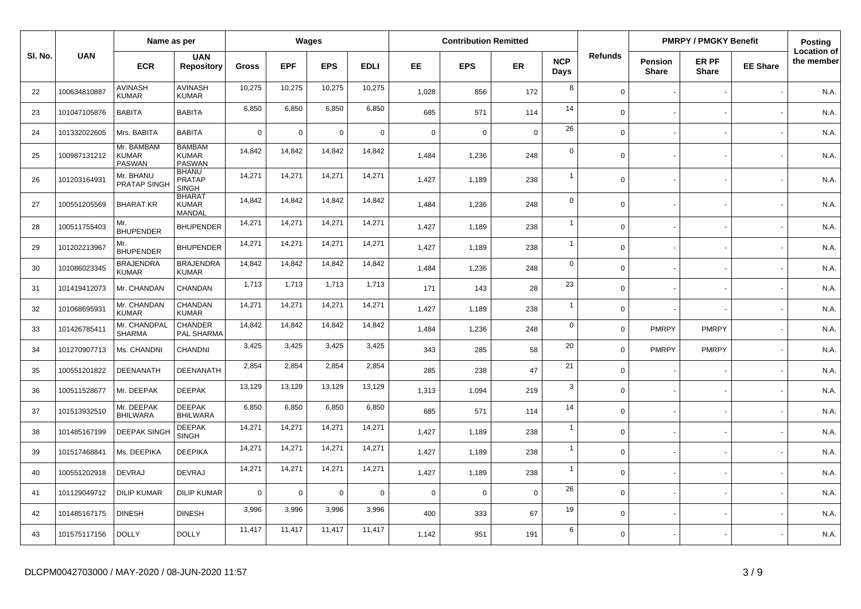|         |              | Name as per                                 |                                                |                | Wages       |             |             |             | <b>Contribution Remitted</b> |             |                    |                |                         | <b>PMRPY / PMGKY Benefit</b> |                 | <b>Posting</b>                   |
|---------|--------------|---------------------------------------------|------------------------------------------------|----------------|-------------|-------------|-------------|-------------|------------------------------|-------------|--------------------|----------------|-------------------------|------------------------------|-----------------|----------------------------------|
| SI. No. | <b>UAN</b>   | <b>ECR</b>                                  | <b>UAN</b><br><b>Repository</b>                | <b>Gross</b>   | <b>EPF</b>  | <b>EPS</b>  | <b>EDLI</b> | EE.         | <b>EPS</b>                   | <b>ER</b>   | <b>NCP</b><br>Days | <b>Refunds</b> | Pension<br><b>Share</b> | ER PF<br><b>Share</b>        | <b>EE Share</b> | <b>Location of</b><br>the member |
| 22      | 100634810887 | <b>AVINASH</b><br><b>KUMAR</b>              | <b>AVINASH</b><br><b>KUMAR</b>                 | 10,275         | 10,275      | 10,275      | 10,275      | 1,028       | 856                          | 172         | 8                  | $\mathbf 0$    |                         |                              |                 | N.A.                             |
| 23      | 101047105876 | <b>BABITA</b>                               | <b>BABITA</b>                                  | 6,850          | 6,850       | 6,850       | 6,850       | 685         | 571                          | 114         | 14                 | $\mathbf 0$    |                         |                              |                 | N.A.                             |
| 24      | 101332022605 | Mrs. BABITA                                 | <b>BABITA</b>                                  | $\overline{0}$ | $\mathbf 0$ | $\pmb{0}$   | $\mathbf 0$ | $\mathbf 0$ | $\Omega$                     | $\mathbf 0$ | 26                 | $\mathbf 0$    |                         |                              |                 | N.A.                             |
| 25      | 100987131212 | Mr. BAMBAM<br><b>KUMAR</b><br><b>PASWAN</b> | <b>BAMBAM</b><br><b>KUMAR</b><br><b>PASWAN</b> | 14,842         | 14,842      | 14,842      | 14,842      | 1,484       | 1,236                        | 248         | $\mathbf 0$        | $\Omega$       |                         |                              |                 | N.A.                             |
| 26      | 101203164931 | Mr. BHANU<br><b>PRATAP SINGH</b>            | <b>BHANU</b><br><b>PRATAP</b><br><b>SINGH</b>  | 14,271         | 14,271      | 14,271      | 14,271      | 1,427       | 1,189                        | 238         | $\overline{1}$     | $\Omega$       |                         |                              |                 | N.A.                             |
| 27      | 100551205569 | <b>BHARAT KR</b>                            | <b>BHARAT</b><br><b>KUMAR</b><br><b>MANDAL</b> | 14,842         | 14,842      | 14,842      | 14,842      | 1,484       | 1,236                        | 248         | $\mathbf 0$        | $\Omega$       |                         |                              |                 | N.A.                             |
| 28      | 100511755403 | Mr.<br><b>BHUPENDER</b>                     | <b>BHUPENDER</b>                               | 14,271         | 14,271      | 14,271      | 14,271      | 1,427       | 1,189                        | 238         | $\overline{1}$     | $\Omega$       |                         |                              |                 | N.A.                             |
| 29      | 101202213967 | Mr.<br><b>BHUPENDER</b>                     | <b>BHUPENDER</b>                               | 14,271         | 14,271      | 14,271      | 14,271      | 1,427       | 1,189                        | 238         | $\overline{1}$     | $\Omega$       |                         |                              |                 | N.A.                             |
| 30      | 101086023345 | <b>BRAJENDRA</b><br><b>KUMAR</b>            | <b>BRAJENDRA</b><br><b>KUMAR</b>               | 14,842         | 14,842      | 14,842      | 14,842      | 1,484       | 1,236                        | 248         | $\mathbf 0$        | $\Omega$       |                         |                              |                 | N.A.                             |
| 31      | 101419412073 | Mr. CHANDAN                                 | CHANDAN                                        | 1,713          | 1,713       | 1,713       | 1,713       | 171         | 143                          | 28          | 23                 | $\Omega$       |                         |                              |                 | N.A.                             |
| 32      | 101068695931 | Mr. CHANDAN<br><b>KUMAR</b>                 | CHANDAN<br><b>KUMAR</b>                        | 14,271         | 14,271      | 14,271      | 14,271      | 1,427       | 1,189                        | 238         | $\mathbf{1}$       | $\Omega$       |                         |                              |                 | N.A.                             |
| 33      | 101426785411 | Mr. CHANDPAL<br><b>SHARMA</b>               | CHANDER<br>PAL SHARMA                          | 14,842         | 14,842      | 14,842      | 14,842      | 1,484       | 1,236                        | 248         | $\mathbf 0$        | $\mathbf 0$    | <b>PMRPY</b>            | <b>PMRPY</b>                 |                 | N.A.                             |
| 34      | 101270907713 | Ms. CHANDNI                                 | <b>CHANDNI</b>                                 | 3,425          | 3,425       | 3,425       | 3,425       | 343         | 285                          | 58          | 20                 | $\Omega$       | <b>PMRPY</b>            | <b>PMRPY</b>                 |                 | N.A.                             |
| 35      | 100551201822 | DEENANATH                                   | DEENANATH                                      | 2,854          | 2,854       | 2,854       | 2,854       | 285         | 238                          | 47          | 21                 | $\mathbf 0$    |                         |                              |                 | N.A.                             |
| 36      | 100511528677 | Mr. DEEPAK                                  | <b>DEEPAK</b>                                  | 13,129         | 13,129      | 13,129      | 13,129      | 1,313       | 1,094                        | 219         | 3                  | $\Omega$       |                         |                              |                 | N.A.                             |
| 37      | 101513932510 | Mr. DEEPAK<br><b>BHILWARA</b>               | <b>DEEPAK</b><br><b>BHILWARA</b>               | 6,850          | 6,850       | 6,850       | 6,850       | 685         | 571                          | 114         | 14                 | $\mathbf 0$    |                         |                              |                 | N.A.                             |
| 38      | 101485167199 | <b>DEEPAK SINGH</b>                         | <b>DEEPAK</b><br><b>SINGH</b>                  | 14,271         | 14,271      | 14,271      | 14,271      | 1,427       | 1,189                        | 238         | $\overline{1}$     | $\Omega$       |                         |                              |                 | N.A.                             |
| 39      | 101517468841 | Ms. DEEPIKA                                 | <b>DEEPIKA</b>                                 | 14,271         | 14,271      | 14,271      | 14,271      | 1,427       | 1,189                        | 238         | $\overline{1}$     | $\Omega$       |                         |                              |                 | N.A.                             |
| 40      | 100551202918 | <b>DEVRAJ</b>                               | <b>DEVRAJ</b>                                  | 14,271         | 14,271      | 14,271      | 14,271      | 1,427       | 1,189                        | 238         | $\overline{1}$     | $\Omega$       |                         |                              |                 | N.A.                             |
| 41      | 101129049712 | <b>DILIP KUMAR</b>                          | <b>DILIP KUMAR</b>                             | $\overline{0}$ | $\mathbf 0$ | $\mathbf 0$ | $\mathbf 0$ | $\mathbf 0$ | $\mathbf 0$                  | $\mathbf 0$ | 26                 | $\mathbf 0$    |                         |                              |                 | N.A.                             |
| 42      | 101485167175 | <b>DINESH</b>                               | <b>DINESH</b>                                  | 3,996          | 3,996       | 3,996       | 3,996       | 400         | 333                          | 67          | 19                 | $\Omega$       |                         |                              |                 | N.A.                             |
| 43      | 101575117156 | <b>DOLLY</b>                                | <b>DOLLY</b>                                   | 11,417         | 11,417      | 11,417      | 11,417      | 1,142       | 951                          | 191         | 6                  | $\Omega$       |                         |                              |                 | N.A.                             |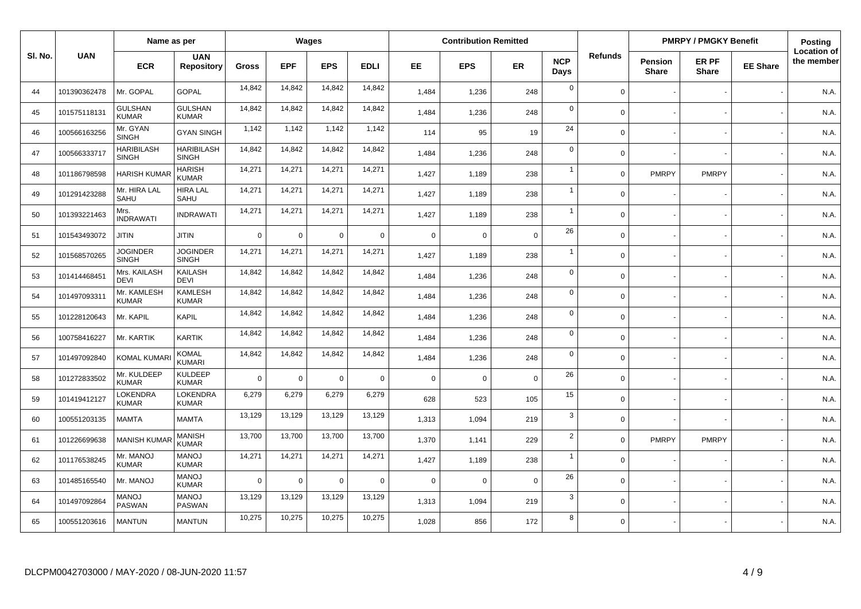|         |              | Name as per                       |                                   |                |             | Wages       |             |             | <b>Contribution Remitted</b> |             |                    |                |                                | <b>PMRPY / PMGKY Benefit</b> |                 | Posting                          |
|---------|--------------|-----------------------------------|-----------------------------------|----------------|-------------|-------------|-------------|-------------|------------------------------|-------------|--------------------|----------------|--------------------------------|------------------------------|-----------------|----------------------------------|
| SI. No. | <b>UAN</b>   | <b>ECR</b>                        | <b>UAN</b><br><b>Repository</b>   | <b>Gross</b>   | <b>EPF</b>  | <b>EPS</b>  | <b>EDLI</b> | EE          | <b>EPS</b>                   | <b>ER</b>   | <b>NCP</b><br>Days | <b>Refunds</b> | <b>Pension</b><br><b>Share</b> | ER PF<br><b>Share</b>        | <b>EE Share</b> | <b>Location of</b><br>the member |
| 44      | 101390362478 | Mr. GOPAL                         | <b>GOPAL</b>                      | 14,842         | 14,842      | 14,842      | 14,842      | 1,484       | 1,236                        | 248         | $\mathsf 0$        | $\mathbf 0$    |                                |                              |                 | N.A.                             |
| 45      | 101575118131 | <b>GULSHAN</b><br><b>KUMAR</b>    | <b>GULSHAN</b><br><b>KUMAR</b>    | 14,842         | 14,842      | 14,842      | 14,842      | 1.484       | 1,236                        | 248         | $\mathbf 0$        | $\Omega$       |                                |                              |                 | N.A.                             |
| 46      | 100566163256 | Mr. GYAN<br>SINGH                 | <b>GYAN SINGH</b>                 | 1,142          | 1,142       | 1,142       | 1,142       | 114         | 95                           | 19          | 24                 | $\mathbf 0$    |                                |                              |                 | N.A.                             |
| 47      | 100566333717 | <b>HARIBILASH</b><br><b>SINGH</b> | <b>HARIBILASH</b><br><b>SINGH</b> | 14,842         | 14,842      | 14,842      | 14,842      | 1,484       | 1,236                        | 248         | $\mathbf 0$        | $\Omega$       |                                |                              |                 | N.A.                             |
| 48      | 101186798598 | <b>HARISH KUMAF</b>               | <b>HARISH</b><br><b>KUMAR</b>     | 14,271         | 14,271      | 14,271      | 14,271      | 1,427       | 1,189                        | 238         | $\overline{1}$     | $\Omega$       | <b>PMRPY</b>                   | <b>PMRPY</b>                 |                 | N.A.                             |
| 49      | 101291423288 | Mr. HIRA LAL<br>SAHU              | <b>HIRA LAL</b><br>SAHU           | 14,271         | 14,271      | 14,271      | 14,271      | 1,427       | 1,189                        | 238         | $\mathbf{1}$       | $\Omega$       |                                |                              |                 | N.A.                             |
| 50      | 101393221463 | Mrs.<br><b>INDRAWATI</b>          | <b>INDRAWATI</b>                  | 14,271         | 14,271      | 14,271      | 14,271      | 1,427       | 1,189                        | 238         | $\overline{1}$     | $\mathbf 0$    |                                |                              |                 | N.A.                             |
| 51      | 101543493072 | <b>JITIN</b>                      | JITIN                             | $\overline{0}$ | $\mathbf 0$ | $\mathbf 0$ | $\Omega$    | $\mathbf 0$ | $\Omega$                     | $\Omega$    | 26                 | $\Omega$       |                                |                              |                 | N.A.                             |
| 52      | 101568570265 | <b>JOGINDER</b><br><b>SINGH</b>   | <b>JOGINDER</b><br><b>SINGH</b>   | 14,271         | 14,271      | 14,271      | 14,271      | 1,427       | 1,189                        | 238         | $\overline{1}$     | $\mathbf 0$    |                                |                              |                 | N.A.                             |
| 53      | 101414468451 | Mrs. KAILASH<br><b>DEVI</b>       | <b>KAILASH</b><br><b>DEVI</b>     | 14,842         | 14,842      | 14,842      | 14,842      | 1,484       | 1,236                        | 248         | $\mathbf 0$        | $\Omega$       |                                |                              |                 | N.A.                             |
| 54      | 101497093311 | Mr. KAMLESH<br><b>KUMAR</b>       | <b>KAMLESH</b><br><b>KUMAR</b>    | 14,842         | 14,842      | 14,842      | 14,842      | 1,484       | 1,236                        | 248         | $\mathbf 0$        | $\Omega$       |                                |                              |                 | N.A.                             |
| 55      | 101228120643 | Mr. KAPIL                         | <b>KAPIL</b>                      | 14,842         | 14,842      | 14,842      | 14,842      | 1,484       | 1,236                        | 248         | $\mathbf 0$        | $\Omega$       |                                |                              |                 | N.A.                             |
| 56      | 100758416227 | Mr. KARTIK                        | <b>KARTIK</b>                     | 14,842         | 14,842      | 14,842      | 14,842      | 1,484       | 1,236                        | 248         | $\mathsf 0$        | $\mathbf 0$    |                                |                              |                 | N.A.                             |
| 57      | 101497092840 | <b>KOMAL KUMAR</b>                | <b>KOMAL</b><br><b>KUMARI</b>     | 14,842         | 14,842      | 14,842      | 14,842      | 1,484       | 1,236                        | 248         | $\mathbf 0$        | $\mathbf 0$    |                                |                              |                 | N.A.                             |
| 58      | 101272833502 | Mr. KULDEEP<br><b>KUMAR</b>       | <b>KULDEEP</b><br><b>KUMAR</b>    | $\overline{0}$ | $\mathsf 0$ | $\mathbf 0$ | $\mathbf 0$ | $\mathsf 0$ | $\Omega$                     | $\mathbf 0$ | 26                 | $\mathbf 0$    |                                |                              |                 | N.A.                             |
| 59      | 101419412127 | LOKENDRA<br><b>KUMAR</b>          | LOKENDRA<br><b>KUMAR</b>          | 6,279          | 6,279       | 6,279       | 6,279       | 628         | 523                          | 105         | 15                 | $\Omega$       |                                |                              |                 | N.A.                             |
| 60      | 100551203135 | <b>MAMTA</b>                      | <b>MAMTA</b>                      | 13,129         | 13,129      | 13,129      | 13,129      | 1,313       | 1,094                        | 219         | 3                  | $\Omega$       |                                |                              |                 | N.A.                             |
| 61      | 101226699638 | <b>MANISH KUMAF</b>               | <b>MANISH</b><br><b>KUMAR</b>     | 13,700         | 13,700      | 13,700      | 13,700      | 1,370       | 1,141                        | 229         | $\sqrt{2}$         | $\mathbf 0$    | <b>PMRPY</b>                   | <b>PMRPY</b>                 |                 | N.A.                             |
| 62      | 101176538245 | Mr. MANOJ<br><b>KUMAR</b>         | <b>MANOJ</b><br><b>KUMAR</b>      | 14,271         | 14,271      | 14,271      | 14,271      | 1,427       | 1,189                        | 238         | $\overline{1}$     | $\Omega$       |                                |                              |                 | N.A.                             |
| 63      | 101485165540 | Mr. MANOJ                         | <b>MANOJ</b><br><b>KUMAR</b>      | $\overline{0}$ | $\mathbf 0$ | $\mathbf 0$ | $\Omega$    | $\mathbf 0$ | $\Omega$                     | $\Omega$    | 26                 | $\mathbf 0$    |                                |                              |                 | N.A.                             |
| 64      | 101497092864 | <b>MANOJ</b><br><b>PASWAN</b>     | <b>MANOJ</b><br>PASWAN            | 13,129         | 13,129      | 13,129      | 13,129      | 1,313       | 1,094                        | 219         | 3                  | $\Omega$       |                                |                              |                 | N.A.                             |
| 65      | 100551203616 | <b>MANTUN</b>                     | <b>MANTUN</b>                     | 10,275         | 10,275      | 10,275      | 10,275      | 1,028       | 856                          | 172         | 8                  | $\Omega$       |                                |                              |                 | N.A.                             |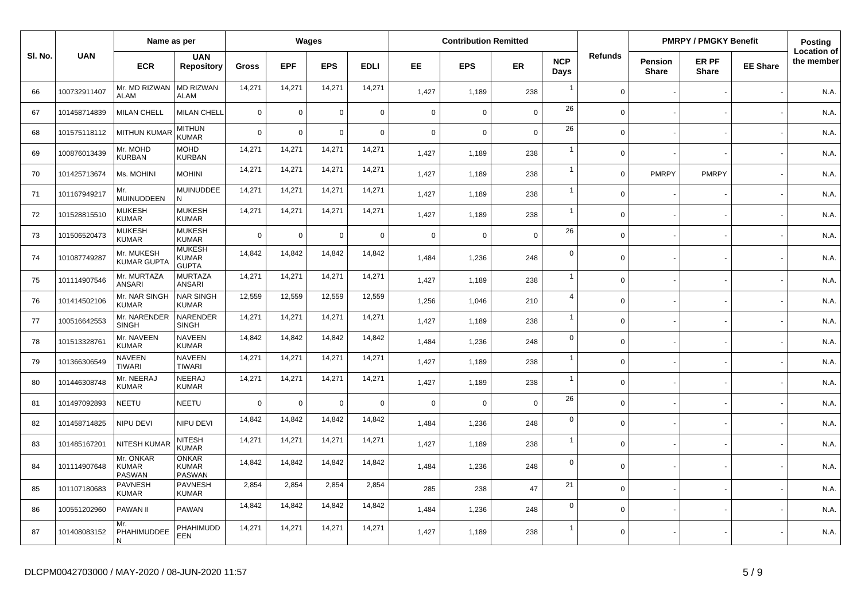|         |              | Name as per                                |                                               |              |             | Wages          |             |             | <b>Contribution Remitted</b> |                |                    |             |                         | <b>PMRPY / PMGKY Benefit</b> |                 | Posting                          |
|---------|--------------|--------------------------------------------|-----------------------------------------------|--------------|-------------|----------------|-------------|-------------|------------------------------|----------------|--------------------|-------------|-------------------------|------------------------------|-----------------|----------------------------------|
| SI. No. | <b>UAN</b>   | <b>ECR</b>                                 | <b>UAN</b><br><b>Repository</b>               | <b>Gross</b> | <b>EPF</b>  | <b>EPS</b>     | <b>EDLI</b> | EE.         | <b>EPS</b>                   | <b>ER</b>      | <b>NCP</b><br>Days | Refunds     | Pension<br><b>Share</b> | ER PF<br><b>Share</b>        | <b>EE Share</b> | <b>Location of</b><br>the member |
| 66      | 100732911407 | Mr. MD RIZWAN<br><b>ALAM</b>               | <b>MD RIZWAN</b><br><b>ALAM</b>               | 14,271       | 14,271      | 14,271         | 14,271      | 1,427       | 1,189                        | 238            | $\overline{1}$     | $\Omega$    |                         |                              |                 | N.A.                             |
| 67      | 101458714839 | <b>MILAN CHELL</b>                         | <b>MILAN CHELL</b>                            | $\mathbf 0$  | 0           | $\overline{0}$ | $\mathbf 0$ | $\mathbf 0$ | $\mathbf 0$                  | $\overline{0}$ | 26                 | $\mathbf 0$ |                         |                              |                 | N.A.                             |
| 68      | 101575118112 | <b>MITHUN KUMAR</b>                        | <b>MITHUN</b><br><b>KUMAR</b>                 | $\Omega$     | 0           | $\Omega$       | $\mathbf 0$ | $\mathbf 0$ | $\mathbf 0$                  | $\mathbf 0$    | 26                 | $\mathbf 0$ |                         |                              |                 | N.A.                             |
| 69      | 100876013439 | Mr. MOHD<br><b>KURBAN</b>                  | <b>MOHD</b><br><b>KURBAN</b>                  | 14,271       | 14,271      | 14,271         | 14,271      | 1,427       | 1,189                        | 238            | $\overline{1}$     | $\Omega$    |                         |                              |                 | N.A.                             |
| 70      | 101425713674 | Ms. MOHINI                                 | <b>MOHINI</b>                                 | 14,271       | 14,271      | 14,271         | 14,271      | 1,427       | 1,189                        | 238            | $\overline{1}$     | $\Omega$    | <b>PMRPY</b>            | <b>PMRPY</b>                 |                 | N.A.                             |
| 71      | 101167949217 | Mr.<br><b>MUINUDDEEN</b>                   | MUINUDDEE<br>N                                | 14,271       | 14,271      | 14,271         | 14,271      | 1,427       | 1,189                        | 238            | $\overline{1}$     | $\Omega$    |                         |                              |                 | N.A.                             |
| 72      | 101528815510 | <b>MUKESH</b><br><b>KUMAR</b>              | <b>MUKESH</b><br><b>KUMAR</b>                 | 14,271       | 14,271      | 14,271         | 14,271      | 1,427       | 1,189                        | 238            | $\overline{1}$     | $\mathbf 0$ |                         |                              |                 | N.A.                             |
| 73      | 101506520473 | <b>MUKESH</b><br><b>KUMAR</b>              | <b>MUKESH</b><br><b>KUMAR</b>                 | $\Omega$     | $\mathbf 0$ | $\Omega$       | $\mathbf 0$ | $\mathbf 0$ | $\mathbf 0$                  | $\mathbf 0$    | 26                 | $\Omega$    |                         |                              |                 | N.A.                             |
| 74      | 101087749287 | Mr. MUKESH<br><b>KUMAR GUPTA</b>           | <b>MUKESH</b><br><b>KUMAR</b><br><b>GUPTA</b> | 14,842       | 14,842      | 14,842         | 14,842      | 1,484       | 1,236                        | 248            | $\mathbf 0$        | $\Omega$    |                         |                              |                 | N.A.                             |
| 75      | 101114907546 | Mr. MURTAZA<br><b>ANSARI</b>               | <b>MURTAZA</b><br><b>ANSARI</b>               | 14,271       | 14,271      | 14,271         | 14,271      | 1,427       | 1,189                        | 238            | $\overline{1}$     | $\Omega$    |                         |                              |                 | N.A.                             |
| 76      | 101414502106 | Mr. NAR SINGH<br><b>KUMAR</b>              | <b>NAR SINGH</b><br><b>KUMAR</b>              | 12,559       | 12,559      | 12,559         | 12,559      | 1,256       | 1,046                        | 210            | $\overline{4}$     | $\Omega$    |                         |                              |                 | N.A.                             |
| 77      | 100516642553 | Mr. NARENDER<br><b>SINGH</b>               | <b>NARENDER</b><br><b>SINGH</b>               | 14,271       | 14,271      | 14,271         | 14,271      | 1,427       | 1,189                        | 238            | $\overline{1}$     | $\Omega$    |                         |                              |                 | N.A.                             |
| 78      | 101513328761 | Mr. NAVEEN<br><b>KUMAR</b>                 | <b>NAVEEN</b><br><b>KUMAR</b>                 | 14,842       | 14,842      | 14,842         | 14,842      | 1.484       | 1,236                        | 248            | $\mathbf 0$        | $\Omega$    |                         |                              |                 | N.A.                             |
| 79      | 101366306549 | <b>NAVEEN</b><br><b>TIWARI</b>             | <b>NAVEEN</b><br><b>TIWARI</b>                | 14,271       | 14,271      | 14,271         | 14,271      | 1,427       | 1,189                        | 238            | $\overline{1}$     | $\Omega$    |                         |                              |                 | N.A.                             |
| 80      | 101446308748 | Mr. NEERAJ<br><b>KUMAR</b>                 | NEERAJ<br><b>KUMAR</b>                        | 14,271       | 14,271      | 14,271         | 14,271      | 1,427       | 1,189                        | 238            | $\overline{1}$     | $\mathbf 0$ |                         |                              |                 | N.A.                             |
| 81      | 101497092893 | NEETU                                      | <b>NEETU</b>                                  | $\Omega$     | $\Omega$    | $\Omega$       | $\mathbf 0$ | $\mathbf 0$ | $\Omega$                     | $\mathbf 0$    | 26                 | $\Omega$    |                         |                              |                 | N.A.                             |
| 82      | 101458714825 | NIPU DEVI                                  | NIPU DEVI                                     | 14,842       | 14,842      | 14,842         | 14,842      | 1.484       | 1,236                        | 248            | $\mathbf 0$        | $\Omega$    |                         |                              |                 | N.A.                             |
| 83      | 101485167201 | <b>NITESH KUMAR</b>                        | <b>NITESH</b><br><b>KUMAR</b>                 | 14,271       | 14,271      | 14,271         | 14,271      | 1,427       | 1,189                        | 238            | $\overline{1}$     | $\Omega$    |                         |                              |                 | N.A.                             |
| 84      | 101114907648 | Mr. ONKAR<br><b>KUMAR</b><br><b>PASWAN</b> | <b>ONKAR</b><br><b>KUMAR</b><br>PASWAN        | 14,842       | 14,842      | 14,842         | 14,842      | 1.484       | 1,236                        | 248            | $\mathbf 0$        | $\Omega$    |                         |                              |                 | N.A.                             |
| 85      | 101107180683 | <b>PAVNESH</b><br><b>KUMAR</b>             | <b>PAVNESH</b><br><b>KUMAR</b>                | 2,854        | 2,854       | 2,854          | 2,854       | 285         | 238                          | 47             | 21                 | $\mathbf 0$ |                         |                              |                 | N.A.                             |
| 86      | 100551202960 | <b>PAWAN II</b>                            | <b>PAWAN</b>                                  | 14,842       | 14,842      | 14,842         | 14,842      | 1,484       | 1,236                        | 248            | $\mathbf 0$        | $\Omega$    |                         |                              |                 | N.A.                             |
| 87      | 101408083152 | Mr.<br>PHAHIMUDDEE<br>N                    | PHAHIMUDD<br><b>EEN</b>                       | 14,271       | 14,271      | 14,271         | 14,271      | 1,427       | 1,189                        | 238            | $\overline{1}$     | $\Omega$    |                         |                              |                 | N.A.                             |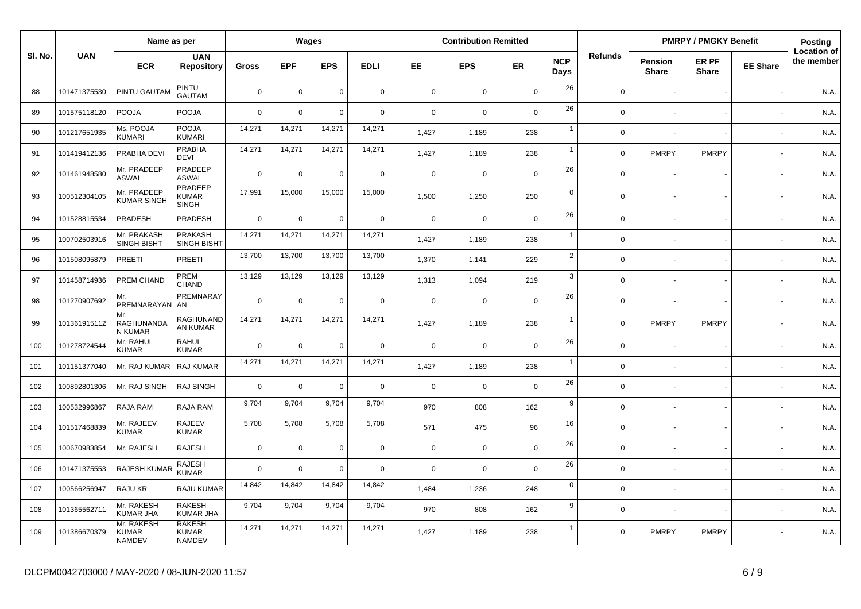|         |              | Name as per                                 |                                                |              |             | <b>Wages</b>   |             |             | <b>Contribution Remitted</b> |                |                    |                |                         | <b>PMRPY / PMGKY Benefit</b> |                 | Posting                          |
|---------|--------------|---------------------------------------------|------------------------------------------------|--------------|-------------|----------------|-------------|-------------|------------------------------|----------------|--------------------|----------------|-------------------------|------------------------------|-----------------|----------------------------------|
| SI. No. | <b>UAN</b>   | <b>ECR</b>                                  | <b>UAN</b><br><b>Repository</b>                | <b>Gross</b> | <b>EPF</b>  | <b>EPS</b>     | <b>EDLI</b> | EE.         | <b>EPS</b>                   | <b>ER</b>      | <b>NCP</b><br>Days | <b>Refunds</b> | Pension<br><b>Share</b> | ER PF<br><b>Share</b>        | <b>EE Share</b> | <b>Location of</b><br>the member |
| 88      | 101471375530 | PINTU GAUTAM                                | PINTU<br><b>GAUTAM</b>                         | $\mathbf 0$  | $\mathbf 0$ | $\Omega$       | $\mathbf 0$ | $\mathbf 0$ | $\mathbf 0$                  | $\mathbf 0$    | 26                 | $\Omega$       |                         |                              |                 | N.A.                             |
| 89      | 101575118120 | <b>POOJA</b>                                | POOJA                                          | $\mathbf 0$  | 0           | $\Omega$       | $\mathbf 0$ | $\mathbf 0$ | $\mathbf 0$                  | $\mathbf 0$    | 26                 | $\Omega$       |                         |                              |                 | N.A.                             |
| 90      | 101217651935 | Ms. POOJA<br><b>KUMARI</b>                  | POOJA<br><b>KUMARI</b>                         | 14,271       | 14,271      | 14,271         | 14,271      | 1,427       | 1,189                        | 238            | $\overline{1}$     | $\mathbf 0$    |                         |                              |                 | N.A.                             |
| 91      | 101419412136 | PRABHA DEVI                                 | PRABHA<br><b>DEVI</b>                          | 14,271       | 14,271      | 14,271         | 14,271      | 1,427       | 1,189                        | 238            | $\overline{1}$     | $\mathbf 0$    | <b>PMRPY</b>            | <b>PMRPY</b>                 |                 | N.A.                             |
| 92      | 101461948580 | Mr. PRADEEP<br><b>ASWAL</b>                 | PRADEEP<br><b>ASWAL</b>                        | $\Omega$     | 0           | $\Omega$       | $\mathbf 0$ | $\mathbf 0$ | $\mathbf 0$                  | $\overline{0}$ | 26                 | $\Omega$       |                         |                              |                 | N.A.                             |
| 93      | 100512304105 | Mr. PRADEEP<br><b>KUMAR SINGH</b>           | <b>PRADEEP</b><br><b>KUMAR</b><br><b>SINGH</b> | 17,991       | 15,000      | 15,000         | 15,000      | 1,500       | 1,250                        | 250            | $\mathbf 0$        | $\Omega$       |                         |                              |                 | N.A.                             |
| 94      | 101528815534 | PRADESH                                     | PRADESH                                        | $\mathbf 0$  | 0           | $\Omega$       | $\mathbf 0$ | $\mathbf 0$ | $\mathbf 0$                  | $\mathbf 0$    | 26                 | $\Omega$       |                         |                              |                 | N.A.                             |
| 95      | 100702503916 | Mr. PRAKASH<br><b>SINGH BISHT</b>           | <b>PRAKASH</b><br><b>SINGH BISHT</b>           | 14,271       | 14,271      | 14,271         | 14,271      | 1,427       | 1,189                        | 238            | $\overline{1}$     | $\Omega$       |                         |                              |                 | N.A.                             |
| 96      | 101508095879 | <b>PREETI</b>                               | PREETI                                         | 13,700       | 13,700      | 13,700         | 13,700      | 1,370       | 1,141                        | 229            | $\overline{2}$     | $\Omega$       |                         |                              |                 | N.A.                             |
| 97      | 101458714936 | PREM CHAND                                  | PREM<br>CHAND                                  | 13,129       | 13,129      | 13,129         | 13,129      | 1,313       | 1,094                        | 219            | 3                  | $\Omega$       |                         |                              |                 | N.A.                             |
| 98      | 101270907692 | Mr.<br>PREMNARAYAN AN                       | PREMNARAY                                      | $\Omega$     | $\mathbf 0$ | $\Omega$       | $\mathbf 0$ | $\Omega$    | $\mathbf 0$                  | $\mathbf 0$    | 26                 | $\Omega$       |                         |                              |                 | N.A.                             |
| 99      | 101361915112 | Mr.<br>RAGHUNANDA<br>N KUMAR                | <b>RAGHUNAND</b><br>AN KUMAR                   | 14,271       | 14,271      | 14,271         | 14,271      | 1,427       | 1,189                        | 238            | $\overline{1}$     | $\mathbf 0$    | <b>PMRPY</b>            | <b>PMRPY</b>                 |                 | N.A.                             |
| 100     | 101278724544 | Mr. RAHUL<br><b>KUMAR</b>                   | <b>RAHUL</b><br><b>KUMAR</b>                   | $\mathbf 0$  | $\mathbf 0$ | $\Omega$       | $\mathbf 0$ | $\mathbf 0$ | $\Omega$                     | $\mathbf 0$    | 26                 | $\Omega$       |                         |                              |                 | N.A.                             |
| 101     | 101151377040 | Mr. RAJ KUMAR                               | <b>RAJ KUMAR</b>                               | 14,271       | 14,271      | 14,271         | 14,271      | 1,427       | 1,189                        | 238            | $\overline{1}$     | $\mathbf 0$    |                         |                              |                 | N.A.                             |
| 102     | 100892801306 | Mr. RAJ SINGH                               | RAJ SINGH                                      | $\mathbf 0$  | $\Omega$    | $\overline{0}$ | $\mathbf 0$ | $\mathbf 0$ | $\mathbf 0$                  | $\mathbf 0$    | 26                 | $\mathbf 0$    |                         |                              |                 | N.A.                             |
| 103     | 100532996867 | <b>RAJA RAM</b>                             | RAJA RAM                                       | 9,704        | 9,704       | 9,704          | 9,704       | 970         | 808                          | 162            | 9                  | $\Omega$       |                         |                              |                 | N.A.                             |
| 104     | 101517468839 | Mr. RAJEEV<br><b>KUMAR</b>                  | <b>RAJEEV</b><br><b>KUMAR</b>                  | 5,708        | 5,708       | 5,708          | 5,708       | 571         | 475                          | 96             | 16                 | $\Omega$       |                         |                              |                 | N.A.                             |
| 105     | 100670983854 | Mr. RAJESH                                  | <b>RAJESH</b>                                  | $\mathbf 0$  | 0           | $\Omega$       | $\mathbf 0$ | $\mathbf 0$ | $\mathbf 0$                  | $\mathbf 0$    | 26                 | $\mathbf 0$    |                         |                              |                 | N.A.                             |
| 106     | 101471375553 | <b>RAJESH KUMAF</b>                         | RAJESH<br><b>KUMAR</b>                         | $\Omega$     | $\Omega$    | $\Omega$       | $\mathsf 0$ | $\mathbf 0$ | $\mathbf 0$                  | $\mathbf 0$    | 26                 | $\mathbf 0$    |                         |                              |                 | N.A.                             |
| 107     | 100566256947 | RAJU KR                                     | RAJU KUMAR                                     | 14,842       | 14,842      | 14,842         | 14,842      | 1,484       | 1,236                        | 248            | $\mathbf 0$        | $\Omega$       |                         |                              |                 | N.A.                             |
| 108     | 101365562711 | Mr. RAKESH<br><b>KUMAR JHA</b>              | <b>RAKESH</b><br>KUMAR JHA                     | 9,704        | 9,704       | 9,704          | 9,704       | 970         | 808                          | 162            | 9                  | $\Omega$       |                         |                              |                 | N.A.                             |
| 109     | 101386670379 | Mr. RAKESH<br><b>KUMAR</b><br><b>NAMDEV</b> | <b>RAKESH</b><br><b>KUMAR</b><br><b>NAMDEV</b> | 14,271       | 14,271      | 14,271         | 14,271      | 1,427       | 1,189                        | 238            | -1                 | $\Omega$       | <b>PMRPY</b>            | <b>PMRPY</b>                 |                 | N.A.                             |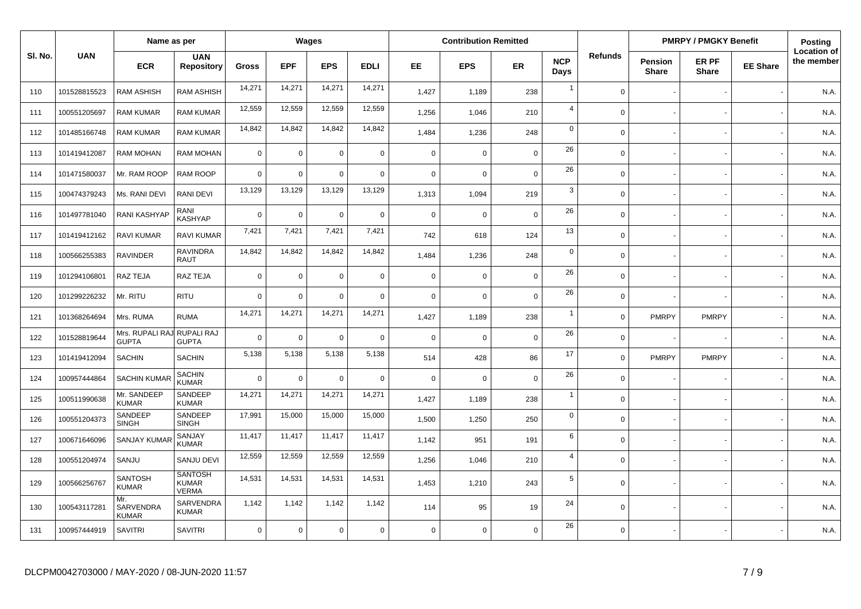|         |              | Name as per                                |                                                |              |             | Wages          |             |             | <b>Contribution Remitted</b> |                |                    |                |                                | <b>PMRPY / PMGKY Benefit</b> |                 | <b>Posting</b>                   |
|---------|--------------|--------------------------------------------|------------------------------------------------|--------------|-------------|----------------|-------------|-------------|------------------------------|----------------|--------------------|----------------|--------------------------------|------------------------------|-----------------|----------------------------------|
| SI. No. | <b>UAN</b>   | <b>ECR</b>                                 | <b>UAN</b><br><b>Repository</b>                | <b>Gross</b> | <b>EPF</b>  | <b>EPS</b>     | <b>EDLI</b> | EE.         | <b>EPS</b>                   | <b>ER</b>      | <b>NCP</b><br>Days | <b>Refunds</b> | <b>Pension</b><br><b>Share</b> | ER PF<br><b>Share</b>        | <b>EE Share</b> | <b>Location of</b><br>the member |
| 110     | 101528815523 | <b>RAM ASHISH</b>                          | <b>RAM ASHISH</b>                              | 14,271       | 14,271      | 14,271         | 14,271      | 1,427       | 1,189                        | 238            | $\overline{1}$     | $\Omega$       |                                |                              |                 | N.A.                             |
| 111     | 100551205697 | <b>RAM KUMAR</b>                           | <b>RAM KUMAR</b>                               | 12,559       | 12,559      | 12,559         | 12,559      | 1,256       | 1,046                        | 210            | $\overline{4}$     | $\Omega$       |                                |                              |                 | N.A.                             |
| 112     | 101485166748 | <b>RAM KUMAR</b>                           | RAM KUMAR                                      | 14,842       | 14,842      | 14,842         | 14,842      | 1,484       | 1,236                        | 248            | $\mathsf 0$        | $\Omega$       |                                |                              |                 | N.A.                             |
| 113     | 101419412087 | <b>RAM MOHAN</b>                           | RAM MOHAN                                      | $\mathbf 0$  | 0           | $\overline{0}$ | $\mathbf 0$ | $\mathbf 0$ | $\mathbf 0$                  | $\mathbf 0$    | 26                 | $\Omega$       |                                |                              |                 | N.A.                             |
| 114     | 101471580037 | Mr. RAM ROOP                               | RAM ROOP                                       | $\Omega$     | $\mathbf 0$ | $\Omega$       | $\mathbf 0$ | $\mathbf 0$ | $\mathbf 0$                  | $\mathbf 0$    | 26                 | $\Omega$       |                                |                              |                 | N.A.                             |
| 115     | 100474379243 | Ms. RANI DEVI                              | RANI DEVI                                      | 13,129       | 13,129      | 13,129         | 13,129      | 1,313       | 1,094                        | 219            | 3                  | $\Omega$       |                                |                              |                 | N.A.                             |
| 116     | 101497781040 | <b>RANI KASHYAP</b>                        | RANI<br>KASHYAP                                | $\mathbf 0$  | 0           | $\Omega$       | $\mathbf 0$ | $\mathbf 0$ | 0                            | $\mathbf 0$    | 26                 | $\Omega$       |                                |                              |                 | N.A.                             |
| 117     | 101419412162 | RAVI KUMAR                                 | RAVI KUMAR                                     | 7,421        | 7,421       | 7,421          | 7,421       | 742         | 618                          | 124            | 13                 | $\Omega$       |                                |                              |                 | N.A.                             |
| 118     | 100566255383 | <b>RAVINDER</b>                            | <b>RAVINDRA</b><br><b>RAUT</b>                 | 14,842       | 14,842      | 14,842         | 14,842      | 1,484       | 1,236                        | 248            | $\mathsf 0$        | $\mathbf 0$    |                                |                              |                 | N.A.                             |
| 119     | 101294106801 | RAZ TEJA                                   | RAZ TEJA                                       | $\mathbf 0$  | 0           | $\overline{0}$ | $\mathbf 0$ | $\mathbf 0$ | $\mathbf 0$                  | $\mathbf 0$    | 26                 | $\Omega$       |                                |                              |                 | N.A.                             |
| 120     | 101299226232 | Mr. RITU                                   | <b>RITU</b>                                    | $\Omega$     | $\Omega$    | $\Omega$       | $\mathbf 0$ | $\mathbf 0$ | $\mathbf 0$                  | $\overline{0}$ | 26                 | $\Omega$       |                                |                              |                 | N.A.                             |
| 121     | 101368264694 | Mrs. RUMA                                  | <b>RUMA</b>                                    | 14,271       | 14,271      | 14,271         | 14,271      | 1,427       | 1,189                        | 238            | $\overline{1}$     | $\mathbf 0$    | <b>PMRPY</b>                   | <b>PMRPY</b>                 |                 | N.A.                             |
| 122     | 101528819644 | Mrs. RUPALI RAJ RUPALI RAJ<br><b>GUPTA</b> | <b>GUPTA</b>                                   | $\Omega$     | 0           | $\Omega$       | $\mathbf 0$ | $\mathbf 0$ | 0                            | $\mathbf 0$    | 26                 | $\Omega$       |                                |                              |                 | N.A.                             |
| 123     | 101419412094 | <b>SACHIN</b>                              | <b>SACHIN</b>                                  | 5,138        | 5,138       | 5,138          | 5,138       | 514         | 428                          | 86             | 17                 | $\Omega$       | <b>PMRPY</b>                   | <b>PMRPY</b>                 |                 | N.A.                             |
| 124     | 100957444864 | <b>SACHIN KUMAR</b>                        | <b>SACHIN</b><br><b>KUMAR</b>                  | $\mathbf 0$  | $\mathbf 0$ | $\overline{0}$ | $\mathbf 0$ | $\mathbf 0$ | $\mathbf 0$                  | $\mathbf 0$    | 26                 | $\mathbf 0$    |                                |                              |                 | N.A.                             |
| 125     | 100511990638 | Mr. SANDEEP<br><b>KUMAR</b>                | SANDEEP<br><b>KUMAR</b>                        | 14,271       | 14,271      | 14,271         | 14,271      | 1,427       | 1,189                        | 238            | $\overline{1}$     | $\Omega$       |                                |                              |                 | N.A.                             |
| 126     | 100551204373 | SANDEEP<br><b>SINGH</b>                    | SANDEEP<br><b>SINGH</b>                        | 17,991       | 15,000      | 15,000         | 15,000      | 1,500       | 1,250                        | 250            | $\mathsf 0$        | $\Omega$       |                                |                              |                 | N.A.                             |
| 127     | 100671646096 | <b>SANJAY KUMAR</b>                        | SANJAY<br><b>KUMAR</b>                         | 11,417       | 11,417      | 11,417         | 11,417      | 1,142       | 951                          | 191            | 6                  | $\Omega$       |                                |                              |                 | N.A.                             |
| 128     | 100551204974 | SANJU                                      | <b>SANJU DEVI</b>                              | 12,559       | 12,559      | 12,559         | 12,559      | 1,256       | 1,046                        | 210            | $\overline{4}$     | $\Omega$       |                                |                              |                 | N.A.                             |
| 129     | 100566256767 | <b>SANTOSH</b><br><b>KUMAR</b>             | <b>SANTOSH</b><br><b>KUMAR</b><br><b>VERMA</b> | 14,531       | 14,531      | 14,531         | 14,531      | 1,453       | 1,210                        | 243            | $\sqrt{5}$         | $\Omega$       |                                |                              |                 | N.A.                             |
| 130     | 100543117281 | Mr.<br>SARVENDRA<br><b>KUMAR</b>           | SARVENDRA<br><b>KUMAR</b>                      | 1,142        | 1,142       | 1,142          | 1,142       | 114         | 95                           | 19             | 24                 | $\Omega$       |                                |                              |                 | N.A.                             |
| 131     | 100957444919 | <b>SAVITRI</b>                             | <b>SAVITRI</b>                                 | $\mathbf 0$  | 0           | $\mathbf 0$    | $\mathbf 0$ | $\Omega$    | $\mathbf 0$                  | $\mathbf 0$    | 26                 | $\Omega$       |                                |                              |                 | N.A.                             |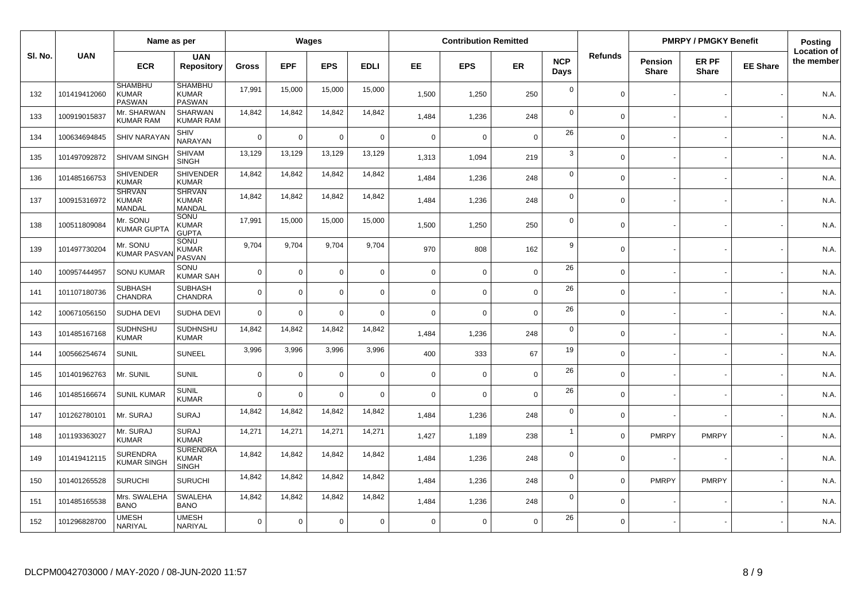|        |              | Name as per                                     |                                                 |              |             | Wages          |             |             | <b>Contribution Remitted</b> |             |                    |                |                         | <b>PMRPY / PMGKY Benefit</b> |                 | Posting                          |
|--------|--------------|-------------------------------------------------|-------------------------------------------------|--------------|-------------|----------------|-------------|-------------|------------------------------|-------------|--------------------|----------------|-------------------------|------------------------------|-----------------|----------------------------------|
| SI. No | <b>UAN</b>   | <b>ECR</b>                                      | <b>UAN</b><br><b>Repository</b>                 | <b>Gross</b> | <b>EPF</b>  | <b>EPS</b>     | <b>EDLI</b> | EE.         | <b>EPS</b>                   | <b>ER</b>   | <b>NCP</b><br>Days | <b>Refunds</b> | Pension<br><b>Share</b> | ER PF<br><b>Share</b>        | <b>EE Share</b> | <b>Location of</b><br>the member |
| 132    | 101419412060 | <b>SHAMBHU</b><br><b>KUMAR</b><br><b>PASWAN</b> | <b>SHAMBHU</b><br><b>KUMAR</b><br><b>PASWAN</b> | 17,991       | 15,000      | 15,000         | 15,000      | 1,500       | 1,250                        | 250         | $\mathbf 0$        | $\Omega$       |                         |                              |                 | N.A.                             |
| 133    | 100919015837 | Mr. SHARWAN<br><b>KUMAR RAM</b>                 | <b>SHARWAN</b><br><b>KUMAR RAM</b>              | 14,842       | 14,842      | 14,842         | 14,842      | 1,484       | 1,236                        | 248         | $\mathbf 0$        | $\Omega$       |                         |                              |                 | N.A.                             |
| 134    | 100634694845 | <b>SHIV NARAYAN</b>                             | SHIV<br>NARAYAN                                 | $\mathbf 0$  | 0           | $\mathbf 0$    | $\mathbf 0$ | $\mathbf 0$ | $\mathbf 0$                  | $\mathbf 0$ | 26                 | $\Omega$       |                         |                              |                 | N.A.                             |
| 135    | 101497092872 | SHIVAM SINGH                                    | <b>SHIVAM</b><br><b>SINGH</b>                   | 13,129       | 13,129      | 13,129         | 13,129      | 1,313       | 1,094                        | 219         | 3                  | $\Omega$       |                         |                              |                 | N.A.                             |
| 136    | 101485166753 | <b>SHIVENDER</b><br><b>KUMAR</b>                | <b>SHIVENDER</b><br><b>KUMAR</b>                | 14,842       | 14,842      | 14,842         | 14,842      | 1,484       | 1,236                        | 248         | $\mathbf 0$        | $\Omega$       |                         |                              |                 | N.A.                             |
| 137    | 100915316972 | <b>SHRVAN</b><br><b>KUMAR</b><br>MANDAL         | <b>SHRVAN</b><br><b>KUMAR</b><br>MANDAL         | 14,842       | 14,842      | 14,842         | 14,842      | 1,484       | 1,236                        | 248         | $\mathbf 0$        | $\Omega$       |                         |                              |                 | N.A.                             |
| 138    | 100511809084 | Mr. SONU<br>KUMAR GUPTA                         | SONU<br><b>KUMAR</b><br><b>GUPTA</b>            | 17,991       | 15,000      | 15,000         | 15,000      | 1,500       | 1,250                        | 250         | $\mathbf 0$        | $\mathbf 0$    |                         |                              |                 | N.A.                             |
| 139    | 101497730204 | Mr. SONU<br><b>KUMAR PASVA</b>                  | SONU<br><b>KUMAR</b><br><b>PASVAN</b>           | 9,704        | 9,704       | 9,704          | 9,704       | 970         | 808                          | 162         | 9                  | $\Omega$       |                         |                              |                 | N.A.                             |
| 140    | 100957444957 | <b>SONU KUMAR</b>                               | SONU<br><b>KUMAR SAH</b>                        | $\mathbf 0$  | $\Omega$    | $\Omega$       | $\mathbf 0$ | $\mathbf 0$ | $\Omega$                     | $\mathbf 0$ | 26                 | $\Omega$       |                         |                              |                 | N.A.                             |
| 141    | 101107180736 | <b>SUBHASH</b><br>CHANDRA                       | <b>SUBHASH</b><br>CHANDRA                       | $\Omega$     | 0           | $\Omega$       | $\mathbf 0$ | $\Omega$    | $\mathbf 0$                  | $\mathbf 0$ | 26                 | $\Omega$       |                         |                              |                 | N.A.                             |
| 142    | 100671056150 | SUDHA DEVI                                      | SUDHA DEVI                                      | $\Omega$     | 0           | $\Omega$       | $\Omega$    | $\mathbf 0$ | $\Omega$                     | $\mathbf 0$ | 26                 | $\Omega$       |                         |                              |                 | N.A.                             |
| 143    | 101485167168 | SUDHNSHU<br><b>KUMAR</b>                        | SUDHNSHU<br><b>KUMAR</b>                        | 14,842       | 14,842      | 14,842         | 14,842      | 1,484       | 1,236                        | 248         | $\mathbf 0$        | $\Omega$       |                         |                              |                 | N.A.                             |
| 144    | 100566254674 | <b>SUNIL</b>                                    | <b>SUNEEL</b>                                   | 3,996        | 3,996       | 3,996          | 3,996       | 400         | 333                          | 67          | 19                 | $\Omega$       |                         |                              |                 | N.A.                             |
| 145    | 101401962763 | Mr. SUNIL                                       | SUNIL                                           | $\Omega$     | $\mathbf 0$ | $\Omega$       | $\mathbf 0$ | $\Omega$    | $\mathbf 0$                  | $\mathbf 0$ | 26                 | $\Omega$       |                         |                              |                 | N.A.                             |
| 146    | 101485166674 | <b>SUNIL KUMAR</b>                              | <b>SUNIL</b><br><b>KUMAR</b>                    | $\Omega$     | $\Omega$    | $\overline{0}$ | $\Omega$    | $\Omega$    | $\mathbf 0$                  | $\mathbf 0$ | 26                 | $\Omega$       |                         |                              |                 | N.A.                             |
| 147    | 101262780101 | Mr. SURAJ                                       | <b>SURAJ</b>                                    | 14,842       | 14,842      | 14,842         | 14,842      | 1,484       | 1,236                        | 248         | $\mathbf 0$        | $\Omega$       |                         |                              |                 | N.A.                             |
| 148    | 101193363027 | Mr. SURAJ<br><b>KUMAR</b>                       | <b>SURAJ</b><br><b>KUMAR</b>                    | 14,271       | 14,271      | 14,271         | 14,271      | 1,427       | 1,189                        | 238         | $\overline{1}$     | $\Omega$       | <b>PMRPY</b>            | <b>PMRPY</b>                 |                 | N.A.                             |
| 149    | 101419412115 | <b>SURENDRA</b><br><b>KUMAR SINGH</b>           | <b>SURENDRA</b><br><b>KUMAR</b><br><b>SINGH</b> | 14,842       | 14,842      | 14,842         | 14,842      | 1.484       | 1,236                        | 248         | $\mathbf 0$        | $\Omega$       |                         |                              |                 | N.A.                             |
| 150    | 101401265528 | <b>SURUCHI</b>                                  | <b>SURUCHI</b>                                  | 14,842       | 14,842      | 14,842         | 14,842      | 1,484       | 1,236                        | 248         | $\mathbf 0$        | $\Omega$       | <b>PMRPY</b>            | <b>PMRPY</b>                 |                 | N.A.                             |
| 151    | 101485165538 | Mrs. SWALEHA<br><b>BANO</b>                     | <b>SWALEHA</b><br><b>BANO</b>                   | 14,842       | 14,842      | 14,842         | 14,842      | 1,484       | 1,236                        | 248         | $\mathbf 0$        | $\Omega$       |                         |                              |                 | N.A.                             |
| 152    | 101296828700 | <b>UMESH</b><br>NARIYAL                         | <b>UMESH</b><br>NARIYAL                         | $\mathbf 0$  | 0           | $\Omega$       | $\mathbf 0$ | $\Omega$    | $\mathbf 0$                  | $\mathbf 0$ | 26                 | $\Omega$       |                         |                              |                 | N.A.                             |